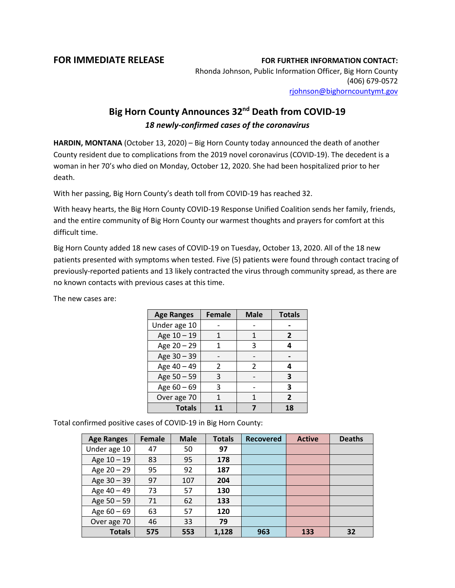## **FOR IMMEDIATE RELEASE FOR FURTHER INFORMATION CONTACT:**

Rhonda Johnson, Public Information Officer, Big Horn County (406) 679-0572 [rjohnson@bighorncountymt.gov](mailto:rjohnson@bighorncountymt.gov)

## **Big Horn County Announces 32nd Death from COVID-19** *18 newly-confirmed cases of the coronavirus*

**HARDIN, MONTANA** (October 13, 2020) – Big Horn County today announced the death of another County resident due to complications from the 2019 novel coronavirus (COVID-19). The decedent is a woman in her 70's who died on Monday, October 12, 2020. She had been hospitalized prior to her death.

With her passing, Big Horn County's death toll from COVID-19 has reached 32.

With heavy hearts, the Big Horn County COVID-19 Response Unified Coalition sends her family, friends, and the entire community of Big Horn County our warmest thoughts and prayers for comfort at this difficult time.

Big Horn County added 18 new cases of COVID-19 on Tuesday, October 13, 2020. All of the 18 new patients presented with symptoms when tested. Five (5) patients were found through contact tracing of previously-reported patients and 13 likely contracted the virus through community spread, as there are no known contacts with previous cases at this time.

| <b>Age Ranges</b> | <b>Female</b> | <b>Male</b> | <b>Totals</b>  |
|-------------------|---------------|-------------|----------------|
| Under age 10      |               |             |                |
| Age 10 - 19       |               | 1           | 2              |
| Age 20 - 29       |               | 3           |                |
| Age 30 - 39       |               |             |                |
| Age 40 - 49       | $\mathcal{P}$ | 2           | Δ              |
| Age 50 - 59       | 3             |             | 3              |
| Age 60 - 69       | 3             |             | 3              |
| Over age 70       |               |             | $\overline{2}$ |
| <b>Totals</b>     |               |             | 18             |

The new cases are:

Total confirmed positive cases of COVID-19 in Big Horn County:

| <b>Age Ranges</b> | <b>Female</b> | <b>Male</b> | <b>Totals</b> | <b>Recovered</b> | <b>Active</b> | <b>Deaths</b> |
|-------------------|---------------|-------------|---------------|------------------|---------------|---------------|
| Under age 10      | 47            | 50          | 97            |                  |               |               |
| Age 10 - 19       | 83            | 95          | 178           |                  |               |               |
| Age 20 - 29       | 95            | 92          | 187           |                  |               |               |
| Age $30 - 39$     | 97            | 107         | 204           |                  |               |               |
| Age 40 - 49       | 73            | 57          | 130           |                  |               |               |
| Age 50 - 59       | 71            | 62          | 133           |                  |               |               |
| Age $60 - 69$     | 63            | 57          | 120           |                  |               |               |
| Over age 70       | 46            | 33          | 79            |                  |               |               |
| <b>Totals</b>     | 575           | 553         | 1,128         | 963              | 133           | 32            |